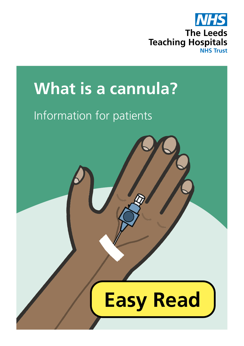

## **What is a cannula?**

## Information for patients

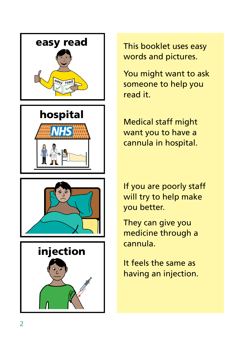







This booklet uses easy words and pictures.

You might want to ask someone to help you read it.

Medical staff might want you to have a cannula in hospital.

If you are poorly staff will try to help make you better.

They can give you medicine through a cannula.

It feels the same as having an injection.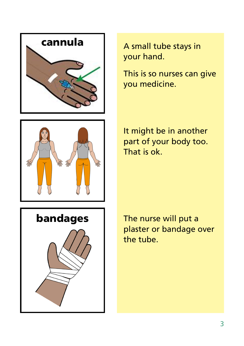



This is so nurses can give you medicine.



It might be in another part of your body too. That is ok.



The nurse will put a plaster or bandage over the tube.